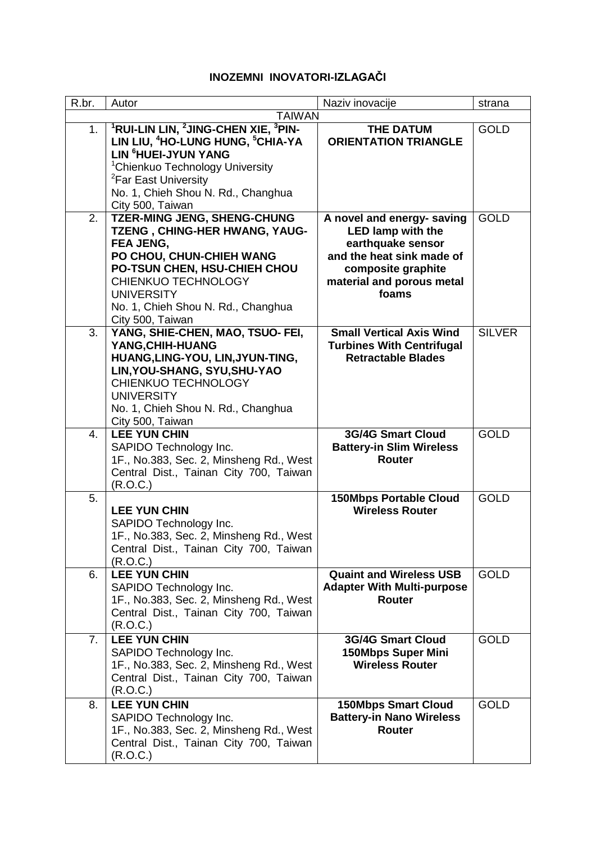## **INOZEMNI INOVATORI-IZLAGAČI**

| R.br.          | Autor                                                                   | Naziv inovacije                   | strana        |  |
|----------------|-------------------------------------------------------------------------|-----------------------------------|---------------|--|
|                | <b>TAIWAN</b>                                                           |                                   |               |  |
| 1.             | <sup>1</sup> RUI-LIN LIN, <sup>2</sup> JING-CHEN XIE, <sup>3</sup> PIN- | <b>THE DATUM</b>                  | <b>GOLD</b>   |  |
|                | LIN LIU, <sup>4</sup> HO-LUNG HUNG, <sup>5</sup> CHIA-YA                | <b>ORIENTATION TRIANGLE</b>       |               |  |
|                | LIN <sup>6</sup> HUEI-JYUN YANG                                         |                                   |               |  |
|                | <sup>1</sup> Chienkuo Technology University                             |                                   |               |  |
|                | <sup>2</sup> Far East University                                        |                                   |               |  |
|                | No. 1, Chieh Shou N. Rd., Changhua                                      |                                   |               |  |
|                | City 500, Taiwan                                                        |                                   |               |  |
| 2.             | <b>TZER-MING JENG, SHENG-CHUNG</b>                                      | A novel and energy- saving        | <b>GOLD</b>   |  |
|                | TZENG, CHING-HER HWANG, YAUG-                                           | <b>LED lamp with the</b>          |               |  |
|                | FEA JENG,                                                               | earthquake sensor                 |               |  |
|                | PO CHOU, CHUN-CHIEH WANG                                                | and the heat sink made of         |               |  |
|                | PO-TSUN CHEN, HSU-CHIEH CHOU                                            | composite graphite                |               |  |
|                | <b>CHIENKUO TECHNOLOGY</b>                                              | material and porous metal         |               |  |
|                | <b>UNIVERSITY</b>                                                       | foams                             |               |  |
|                | No. 1, Chieh Shou N. Rd., Changhua                                      |                                   |               |  |
|                | City 500, Taiwan                                                        |                                   |               |  |
| 3.             | YANG, SHIE-CHEN, MAO, TSUO- FEI,                                        | <b>Small Vertical Axis Wind</b>   | <b>SILVER</b> |  |
|                | YANG, CHIH-HUANG                                                        | <b>Turbines With Centrifugal</b>  |               |  |
|                | HUANG, LING-YOU, LIN, JYUN-TING,                                        | <b>Retractable Blades</b>         |               |  |
|                | LIN, YOU-SHANG, SYU, SHU-YAO                                            |                                   |               |  |
|                | <b>CHIENKUO TECHNOLOGY</b>                                              |                                   |               |  |
|                | <b>UNIVERSITY</b>                                                       |                                   |               |  |
|                | No. 1, Chieh Shou N. Rd., Changhua                                      |                                   |               |  |
|                | City 500, Taiwan                                                        |                                   |               |  |
| 4.             | <b>LEE YUN CHIN</b>                                                     | <b>3G/4G Smart Cloud</b>          | <b>GOLD</b>   |  |
|                | SAPIDO Technology Inc.                                                  | <b>Battery-in Slim Wireless</b>   |               |  |
|                | 1F., No.383, Sec. 2, Minsheng Rd., West                                 | Router                            |               |  |
|                | Central Dist., Tainan City 700, Taiwan                                  |                                   |               |  |
|                | (R.O.C.)                                                                |                                   |               |  |
| 5.             |                                                                         | <b>150Mbps Portable Cloud</b>     | <b>GOLD</b>   |  |
|                | <b>LEE YUN CHIN</b>                                                     | <b>Wireless Router</b>            |               |  |
|                | SAPIDO Technology Inc.                                                  |                                   |               |  |
|                | 1F., No.383, Sec. 2, Minsheng Rd., West                                 |                                   |               |  |
|                | Central Dist., Tainan City 700, Taiwan                                  |                                   |               |  |
| 6.             | (R.O.C.)<br><b>LEE YUN CHIN</b>                                         | <b>Quaint and Wireless USB</b>    | <b>GOLD</b>   |  |
|                | SAPIDO Technology Inc.                                                  | <b>Adapter With Multi-purpose</b> |               |  |
|                | 1F., No.383, Sec. 2, Minsheng Rd., West                                 | <b>Router</b>                     |               |  |
|                | Central Dist., Tainan City 700, Taiwan                                  |                                   |               |  |
|                | (R.O.C.)                                                                |                                   |               |  |
| 7 <sub>1</sub> | <b>LEE YUN CHIN</b>                                                     | <b>3G/4G Smart Cloud</b>          | <b>GOLD</b>   |  |
|                | SAPIDO Technology Inc.                                                  | <b>150Mbps Super Mini</b>         |               |  |
|                | 1F., No.383, Sec. 2, Minsheng Rd., West                                 | <b>Wireless Router</b>            |               |  |
|                | Central Dist., Tainan City 700, Taiwan                                  |                                   |               |  |
|                | (R.O.C.)                                                                |                                   |               |  |
| 8.             | <b>LEE YUN CHIN</b>                                                     | <b>150Mbps Smart Cloud</b>        | <b>GOLD</b>   |  |
|                | SAPIDO Technology Inc.                                                  | <b>Battery-in Nano Wireless</b>   |               |  |
|                | 1F., No.383, Sec. 2, Minsheng Rd., West                                 | Router                            |               |  |
|                | Central Dist., Tainan City 700, Taiwan                                  |                                   |               |  |
|                | (R.O.C.)                                                                |                                   |               |  |
|                |                                                                         |                                   |               |  |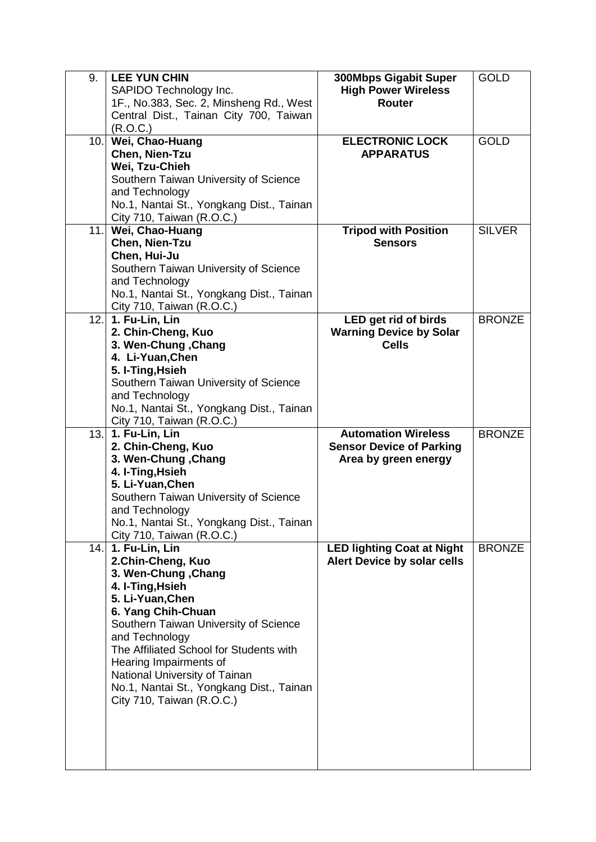| 9. | <b>LEE YUN CHIN</b>                      | 300Mbps Gigabit Super             | <b>GOLD</b>   |
|----|------------------------------------------|-----------------------------------|---------------|
|    | SAPIDO Technology Inc.                   | <b>High Power Wireless</b>        |               |
|    | 1F., No.383, Sec. 2, Minsheng Rd., West  | <b>Router</b>                     |               |
|    | Central Dist., Tainan City 700, Taiwan   |                                   |               |
|    | (R.O.C.)                                 |                                   |               |
|    | 10. Wei, Chao-Huang                      | <b>ELECTRONIC LOCK</b>            | <b>GOLD</b>   |
|    | Chen, Nien-Tzu                           | <b>APPARATUS</b>                  |               |
|    | Wei, Tzu-Chieh                           |                                   |               |
|    | Southern Taiwan University of Science    |                                   |               |
|    | and Technology                           |                                   |               |
|    |                                          |                                   |               |
|    | No.1, Nantai St., Yongkang Dist., Tainan |                                   |               |
|    | City 710, Taiwan (R.O.C.)                |                                   |               |
|    | 11. Wei, Chao-Huang                      | <b>Tripod with Position</b>       | <b>SILVER</b> |
|    | Chen, Nien-Tzu                           | <b>Sensors</b>                    |               |
|    | Chen, Hui-Ju                             |                                   |               |
|    | Southern Taiwan University of Science    |                                   |               |
|    | and Technology                           |                                   |               |
|    | No.1, Nantai St., Yongkang Dist., Tainan |                                   |               |
|    | City 710, Taiwan (R.O.C.)                |                                   |               |
|    | 12. 1. Fu-Lin, Lin                       | LED get rid of birds              | <b>BRONZE</b> |
|    | 2. Chin-Cheng, Kuo                       | <b>Warning Device by Solar</b>    |               |
|    | 3. Wen-Chung, Chang                      | <b>Cells</b>                      |               |
|    | 4. Li-Yuan, Chen                         |                                   |               |
|    | 5. I-Ting, Hsieh                         |                                   |               |
|    | Southern Taiwan University of Science    |                                   |               |
|    | and Technology                           |                                   |               |
|    | No.1, Nantai St., Yongkang Dist., Tainan |                                   |               |
|    | City 710, Taiwan (R.O.C.)                |                                   |               |
|    | 13. 1. Fu-Lin, Lin                       | <b>Automation Wireless</b>        | <b>BRONZE</b> |
|    | 2. Chin-Cheng, Kuo                       | <b>Sensor Device of Parking</b>   |               |
|    | 3. Wen-Chung, Chang                      | Area by green energy              |               |
|    | 4. I-Ting, Hsieh                         |                                   |               |
|    | 5. Li-Yuan, Chen                         |                                   |               |
|    | Southern Taiwan University of Science    |                                   |               |
|    | and Technology                           |                                   |               |
|    | No.1, Nantai St., Yongkang Dist., Tainan |                                   |               |
|    | City 710, Taiwan (R.O.C.)                |                                   |               |
|    | 14. 1. Fu-Lin, Lin                       | <b>LED lighting Coat at Night</b> | <b>BRONZE</b> |
|    | 2.Chin-Cheng, Kuo                        | Alert Device by solar cells       |               |
|    | 3. Wen-Chung, Chang                      |                                   |               |
|    |                                          |                                   |               |
|    | 4. I-Ting, Hsieh                         |                                   |               |
|    | 5. Li-Yuan, Chen                         |                                   |               |
|    | 6. Yang Chih-Chuan                       |                                   |               |
|    | Southern Taiwan University of Science    |                                   |               |
|    | and Technology                           |                                   |               |
|    | The Affiliated School for Students with  |                                   |               |
|    | Hearing Impairments of                   |                                   |               |
|    | National University of Tainan            |                                   |               |
|    | No.1, Nantai St., Yongkang Dist., Tainan |                                   |               |
|    | City 710, Taiwan (R.O.C.)                |                                   |               |
|    |                                          |                                   |               |
|    |                                          |                                   |               |
|    |                                          |                                   |               |
|    |                                          |                                   |               |
|    |                                          |                                   |               |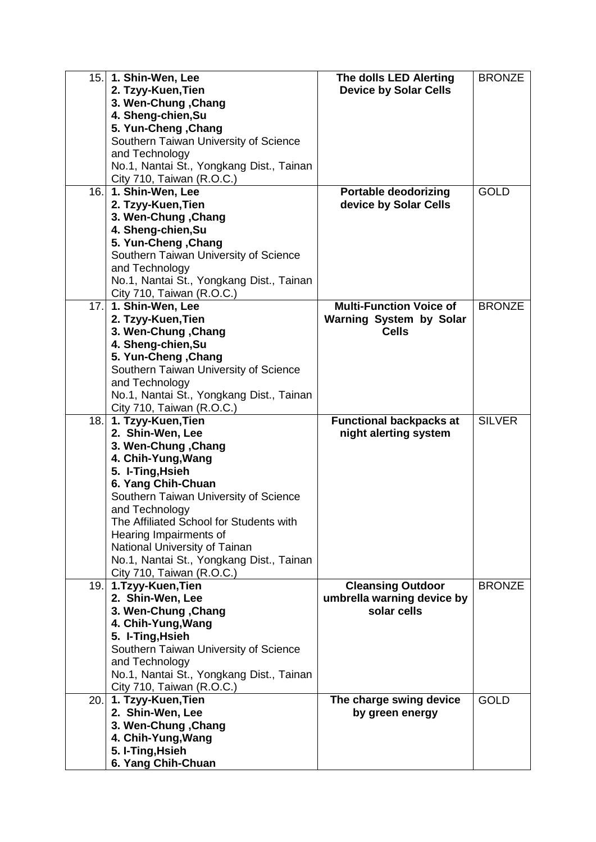|      | 15. 1. Shin-Wen, Lee                     | The dolls LED Alerting         | <b>BRONZE</b> |
|------|------------------------------------------|--------------------------------|---------------|
|      | 2. Tzyy-Kuen, Tien                       | <b>Device by Solar Cells</b>   |               |
|      | 3. Wen-Chung, Chang                      |                                |               |
|      | 4. Sheng-chien, Su                       |                                |               |
|      | 5. Yun-Cheng, Chang                      |                                |               |
|      | Southern Taiwan University of Science    |                                |               |
|      | and Technology                           |                                |               |
|      | No.1, Nantai St., Yongkang Dist., Tainan |                                |               |
|      | City 710, Taiwan (R.O.C.)                |                                |               |
|      |                                          |                                | <b>GOLD</b>   |
|      | 16. 1. Shin-Wen, Lee                     | <b>Portable deodorizing</b>    |               |
|      | 2. Tzyy-Kuen, Tien                       | device by Solar Cells          |               |
|      | 3. Wen-Chung, Chang                      |                                |               |
|      | 4. Sheng-chien, Su                       |                                |               |
|      | 5. Yun-Cheng, Chang                      |                                |               |
|      | Southern Taiwan University of Science    |                                |               |
|      | and Technology                           |                                |               |
|      | No.1, Nantai St., Yongkang Dist., Tainan |                                |               |
|      | City 710, Taiwan (R.O.C.)                |                                |               |
| 17.  | 1. Shin-Wen, Lee                         | <b>Multi-Function Voice of</b> | <b>BRONZE</b> |
|      | 2. Tzyy-Kuen, Tien                       | <b>Warning System by Solar</b> |               |
|      | 3. Wen-Chung, Chang                      | <b>Cells</b>                   |               |
|      | 4. Sheng-chien, Su                       |                                |               |
|      | 5. Yun-Cheng, Chang                      |                                |               |
|      | Southern Taiwan University of Science    |                                |               |
|      | and Technology                           |                                |               |
|      | No.1, Nantai St., Yongkang Dist., Tainan |                                |               |
|      | City 710, Taiwan (R.O.C.)                |                                |               |
| 18.1 | 1. Tzyy-Kuen, Tien                       | <b>Functional backpacks at</b> | <b>SILVER</b> |
|      | 2. Shin-Wen, Lee                         | night alerting system          |               |
|      | 3. Wen-Chung, Chang                      |                                |               |
|      |                                          |                                |               |
|      | 4. Chih-Yung, Wang                       |                                |               |
|      | 5. I-Ting, Hsieh                         |                                |               |
|      | 6. Yang Chih-Chuan                       |                                |               |
|      | Southern Taiwan University of Science    |                                |               |
|      | and Technology                           |                                |               |
|      | The Affiliated School for Students with  |                                |               |
|      | Hearing Impairments of                   |                                |               |
|      | National University of Tainan            |                                |               |
|      | No.1, Nantai St., Yongkang Dist., Tainan |                                |               |
|      | City 710, Taiwan (R.O.C.)                |                                |               |
|      | 19. 1.Tzyy-Kuen, Tien                    | <b>Cleansing Outdoor</b>       | <b>BRONZE</b> |
|      | 2. Shin-Wen, Lee                         | umbrella warning device by     |               |
|      | 3. Wen-Chung, Chang                      | solar cells                    |               |
|      | 4. Chih-Yung, Wang                       |                                |               |
|      | 5. I-Ting, Hsieh                         |                                |               |
|      | Southern Taiwan University of Science    |                                |               |
|      | and Technology                           |                                |               |
|      | No.1, Nantai St., Yongkang Dist., Tainan |                                |               |
|      | City 710, Taiwan (R.O.C.)                |                                |               |
|      | 20. 1. Tzyy-Kuen, Tien                   | The charge swing device        | <b>GOLD</b>   |
|      | 2. Shin-Wen, Lee                         | by green energy                |               |
|      | 3. Wen-Chung, Chang                      |                                |               |
|      | 4. Chih-Yung, Wang                       |                                |               |
|      | 5. I-Ting, Hsieh                         |                                |               |
|      | 6. Yang Chih-Chuan                       |                                |               |
|      |                                          |                                |               |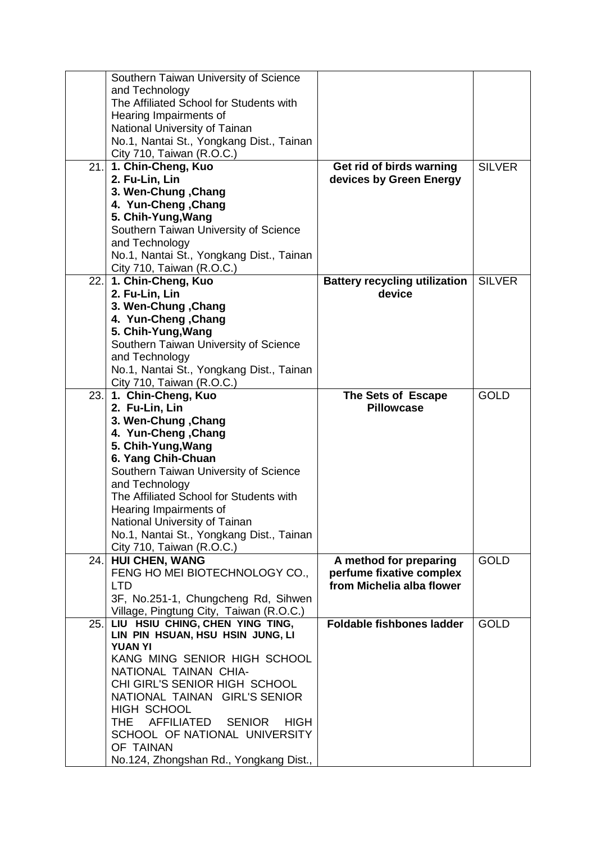|      | Southern Taiwan University of Science                     |                                      |               |
|------|-----------------------------------------------------------|--------------------------------------|---------------|
|      | and Technology                                            |                                      |               |
|      | The Affiliated School for Students with                   |                                      |               |
|      | Hearing Impairments of                                    |                                      |               |
|      | National University of Tainan                             |                                      |               |
|      | No.1, Nantai St., Yongkang Dist., Tainan                  |                                      |               |
|      | City 710, Taiwan (R.O.C.)                                 |                                      |               |
| 21.  | 1. Chin-Cheng, Kuo                                        | Get rid of birds warning             | <b>SILVER</b> |
|      | 2. Fu-Lin, Lin                                            | devices by Green Energy              |               |
|      | 3. Wen-Chung, Chang                                       |                                      |               |
|      | 4. Yun-Cheng, Chang                                       |                                      |               |
|      | 5. Chih-Yung, Wang                                        |                                      |               |
|      | Southern Taiwan University of Science                     |                                      |               |
|      | and Technology                                            |                                      |               |
|      | No.1, Nantai St., Yongkang Dist., Tainan                  |                                      |               |
|      | City 710, Taiwan (R.O.C.)                                 |                                      |               |
|      | 22. 1. Chin-Cheng, Kuo                                    | <b>Battery recycling utilization</b> | <b>SILVER</b> |
|      | 2. Fu-Lin, Lin                                            | device                               |               |
|      | 3. Wen-Chung, Chang                                       |                                      |               |
|      | 4. Yun-Cheng, Chang                                       |                                      |               |
|      | 5. Chih-Yung, Wang                                        |                                      |               |
|      | Southern Taiwan University of Science                     |                                      |               |
|      | and Technology                                            |                                      |               |
|      | No.1, Nantai St., Yongkang Dist., Tainan                  |                                      |               |
|      | City 710, Taiwan (R.O.C.)                                 |                                      |               |
| 23.1 | 1. Chin-Cheng, Kuo                                        | The Sets of Escape                   | <b>GOLD</b>   |
|      |                                                           |                                      |               |
|      | 2. Fu-Lin, Lin                                            | <b>Pillowcase</b>                    |               |
|      | 3. Wen-Chung, Chang                                       |                                      |               |
|      | 4. Yun-Cheng, Chang                                       |                                      |               |
|      | 5. Chih-Yung, Wang                                        |                                      |               |
|      | 6. Yang Chih-Chuan                                        |                                      |               |
|      | Southern Taiwan University of Science                     |                                      |               |
|      | and Technology                                            |                                      |               |
|      | The Affiliated School for Students with                   |                                      |               |
|      | Hearing Impairments of                                    |                                      |               |
|      | National University of Tainan                             |                                      |               |
|      | No.1, Nantai St., Yongkang Dist., Tainan                  |                                      |               |
|      | City 710, Taiwan (R.O.C.)                                 |                                      |               |
| 24.1 | <b>HUI CHEN, WANG</b>                                     | A method for preparing               | <b>GOLD</b>   |
|      | FENG HO MEI BIOTECHNOLOGY CO.,                            | perfume fixative complex             |               |
|      | <b>LTD</b>                                                | from Michelia alba flower            |               |
|      | 3F, No.251-1, Chungcheng Rd, Sihwen                       |                                      |               |
|      | Village, Pingtung City, Taiwan (R.O.C.)                   |                                      |               |
| 25.1 | LIU HSIU CHING, CHEN YING TING,                           | <b>Foldable fishbones ladder</b>     | <b>GOLD</b>   |
|      | LIN PIN HSUAN, HSU HSIN JUNG, LI                          |                                      |               |
|      | <b>YUAN YI</b>                                            |                                      |               |
|      | KANG MING SENIOR HIGH SCHOOL                              |                                      |               |
|      | NATIONAL TAINAN CHIA-                                     |                                      |               |
|      | CHI GIRL'S SENIOR HIGH SCHOOL                             |                                      |               |
|      | NATIONAL TAINAN GIRL'S SENIOR                             |                                      |               |
|      | <b>HIGH SCHOOL</b>                                        |                                      |               |
|      | <b>AFFILIATED</b><br>THE.<br><b>SENIOR</b><br><b>HIGH</b> |                                      |               |
|      | SCHOOL OF NATIONAL UNIVERSITY<br>OF TAINAN                |                                      |               |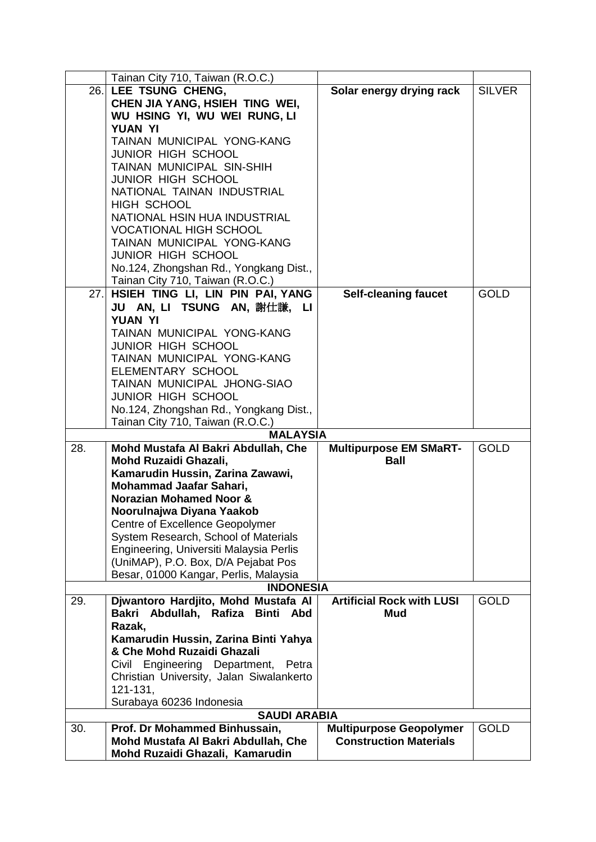|     | Tainan City 710, Taiwan (R.O.C.)           |                                  |               |
|-----|--------------------------------------------|----------------------------------|---------------|
| 26. | LEE TSUNG CHENG,                           | Solar energy drying rack         | <b>SILVER</b> |
|     | CHEN JIA YANG, HSIEH TING WEI,             |                                  |               |
|     | WU HSING YI, WU WEI RUNG, LI               |                                  |               |
|     | <b>YUAN YI</b>                             |                                  |               |
|     | TAINAN MUNICIPAL YONG-KANG                 |                                  |               |
|     | <b>JUNIOR HIGH SCHOOL</b>                  |                                  |               |
|     | TAINAN MUNICIPAL SIN-SHIH                  |                                  |               |
|     | <b>JUNIOR HIGH SCHOOL</b>                  |                                  |               |
|     | NATIONAL TAINAN INDUSTRIAL                 |                                  |               |
|     | <b>HIGH SCHOOL</b>                         |                                  |               |
|     | NATIONAL HSIN HUA INDUSTRIAL               |                                  |               |
|     |                                            |                                  |               |
|     | <b>VOCATIONAL HIGH SCHOOL</b>              |                                  |               |
|     | TAINAN MUNICIPAL YONG-KANG                 |                                  |               |
|     | JUNIOR HIGH SCHOOL                         |                                  |               |
|     | No.124, Zhongshan Rd., Yongkang Dist.,     |                                  |               |
|     | Tainan City 710, Taiwan (R.O.C.)           |                                  |               |
|     | 27. HSIEH TING LI, LIN PIN PAI, YANG       | <b>Self-cleaning faucet</b>      | <b>GOLD</b>   |
|     | JU AN, LI TSUNG AN, 謝仕謙, LI                |                                  |               |
|     | YUAN YI                                    |                                  |               |
|     | TAINAN MUNICIPAL YONG-KANG                 |                                  |               |
|     | <b>JUNIOR HIGH SCHOOL</b>                  |                                  |               |
|     | TAINAN MUNICIPAL YONG-KANG                 |                                  |               |
|     | ELEMENTARY SCHOOL                          |                                  |               |
|     | TAINAN MUNICIPAL JHONG-SIAO                |                                  |               |
|     | <b>JUNIOR HIGH SCHOOL</b>                  |                                  |               |
|     | No.124, Zhongshan Rd., Yongkang Dist.,     |                                  |               |
|     | Tainan City 710, Taiwan (R.O.C.)           |                                  |               |
|     | <b>MALAYSIA</b>                            |                                  |               |
| 28. | Mohd Mustafa Al Bakri Abdullah, Che        | <b>Multipurpose EM SMaRT-</b>    | <b>GOLD</b>   |
|     | Mohd Ruzaidi Ghazali,                      | <b>Ball</b>                      |               |
|     | Kamarudin Hussin, Zarina Zawawi,           |                                  |               |
|     | Mohammad Jaafar Sahari,                    |                                  |               |
|     | <b>Norazian Mohamed Noor &amp;</b>         |                                  |               |
|     | Noorulnajwa Diyana Yaakob                  |                                  |               |
|     | <b>Centre of Excellence Geopolymer</b>     |                                  |               |
|     |                                            |                                  |               |
|     | System Research, School of Materials       |                                  |               |
|     | Engineering, Universiti Malaysia Perlis    |                                  |               |
|     | (UniMAP), P.O. Box, D/A Pejabat Pos        |                                  |               |
|     | Besar, 01000 Kangar, Perlis, Malaysia      |                                  |               |
|     | <b>INDONESIA</b>                           |                                  |               |
| 29. | Djwantoro Hardjito, Mohd Mustafa Al        | <b>Artificial Rock with LUSI</b> | <b>GOLD</b>   |
|     | Abdullah, Rafiza Binti Abd<br><b>Bakri</b> | <b>Mud</b>                       |               |
|     | Razak,                                     |                                  |               |
|     | Kamarudin Hussin, Zarina Binti Yahya       |                                  |               |
|     | & Che Mohd Ruzaidi Ghazali                 |                                  |               |
|     | Civil Engineering Department, Petra        |                                  |               |
|     | Christian University, Jalan Siwalankerto   |                                  |               |
|     | 121-131,                                   |                                  |               |
|     | Surabaya 60236 Indonesia                   |                                  |               |
|     | <b>SAUDI ARABIA</b>                        |                                  |               |
| 30. | Prof. Dr Mohammed Binhussain,              | <b>Multipurpose Geopolymer</b>   | <b>GOLD</b>   |
|     | Mohd Mustafa Al Bakri Abdullah, Che        | <b>Construction Materials</b>    |               |
|     | Mohd Ruzaidi Ghazali, Kamarudin            |                                  |               |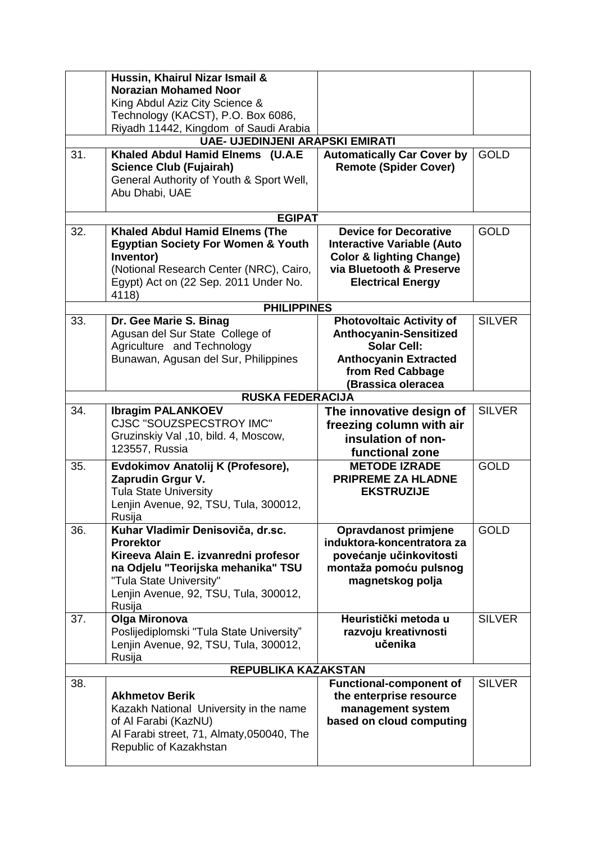|     | Hussin, Khairul Nizar Ismail &                  |                                     |               |
|-----|-------------------------------------------------|-------------------------------------|---------------|
|     | <b>Norazian Mohamed Noor</b>                    |                                     |               |
|     | King Abdul Aziz City Science &                  |                                     |               |
|     | Technology (KACST), P.O. Box 6086,              |                                     |               |
|     | Riyadh 11442, Kingdom of Saudi Arabia           |                                     |               |
|     | <b>UAE- UJEDINJENI ARAPSKI EMIRATI</b>          |                                     |               |
| 31. | Khaled Abdul Hamid Elnems (U.A.E                | <b>Automatically Car Cover by</b>   | <b>GOLD</b>   |
|     | <b>Science Club (Fujairah)</b>                  | <b>Remote (Spider Cover)</b>        |               |
|     | General Authority of Youth & Sport Well,        |                                     |               |
|     | Abu Dhabi, UAE                                  |                                     |               |
|     |                                                 |                                     |               |
|     | <b>EGIPAT</b>                                   |                                     |               |
| 32. | <b>Khaled Abdul Hamid Elnems (The</b>           | <b>Device for Decorative</b>        | <b>GOLD</b>   |
|     | <b>Egyptian Society For Women &amp; Youth</b>   | <b>Interactive Variable (Auto</b>   |               |
|     | Inventor)                                       | <b>Color &amp; lighting Change)</b> |               |
|     | (Notional Research Center (NRC), Cairo,         | via Bluetooth & Preserve            |               |
|     | Egypt) Act on (22 Sep. 2011 Under No.           | <b>Electrical Energy</b>            |               |
|     | 4118)                                           |                                     |               |
|     | <b>PHILIPPINES</b>                              |                                     |               |
| 33. | Dr. Gee Marie S. Binag                          | <b>Photovoltaic Activity of</b>     | <b>SILVER</b> |
|     | Agusan del Sur State College of                 | <b>Anthocyanin-Sensitized</b>       |               |
|     | Agriculture and Technology                      | <b>Solar Cell:</b>                  |               |
|     | Bunawan, Agusan del Sur, Philippines            | <b>Anthocyanin Extracted</b>        |               |
|     |                                                 | from Red Cabbage                    |               |
|     |                                                 | (Brassica oleracea                  |               |
|     | <b>RUSKA FEDERACIJA</b>                         |                                     |               |
| 34. | <b>Ibragim PALANKOEV</b>                        | The innovative design of            | <b>SILVER</b> |
|     | <b>CJSC "SOUZSPECSTROY IMC"</b>                 | freezing column with air            |               |
|     | Gruzinskiy Val , 10, bild. 4, Moscow,           | insulation of non-                  |               |
|     | 123557, Russia                                  | functional zone                     |               |
| 35. | Evdokimov Anatolij K (Profesore),               | <b>METODE IZRADE</b>                | <b>GOLD</b>   |
|     | Zaprudin Grgur V.                               | <b>PRIPREME ZA HLADNE</b>           |               |
|     | <b>Tula State University</b>                    | <b>EKSTRUZIJE</b>                   |               |
|     | Lenjin Avenue, 92, TSU, Tula, 300012,           |                                     |               |
|     | Rusija                                          |                                     |               |
| 36. | Kuhar Vladimir Denisoviča, dr.sc.               | Opravdanost primjene                | <b>GOLD</b>   |
|     | <b>Prorektor</b>                                | induktora-koncentratora za          |               |
|     | Kireeva Alain E. izvanredni profesor            | povećanje učinkovitosti             |               |
|     | na Odjelu "Teorijska mehanika" TSU              | montaža pomoću pulsnog              |               |
|     | "Tula State University"                         | magnetskog polja                    |               |
|     | Lenjin Avenue, 92, TSU, Tula, 300012,<br>Rusija |                                     |               |
| 37. | Olga Mironova                                   | Heuristički metoda u                | <b>SILVER</b> |
|     | Poslijediplomski "Tula State University"        | razvoju kreativnosti                |               |
|     | Lenjin Avenue, 92, TSU, Tula, 300012,           | učenika                             |               |
|     | Rusija                                          |                                     |               |
|     | REPUBLIKA KAZAKSTAN                             |                                     |               |
| 38. |                                                 | <b>Functional-component of</b>      | <b>SILVER</b> |
|     | <b>Akhmetov Berik</b>                           | the enterprise resource             |               |
|     | Kazakh National University in the name          | management system                   |               |
|     | of Al Farabi (KazNU)                            | based on cloud computing            |               |
|     | Al Farabi street, 71, Almaty, 050040, The       |                                     |               |
|     | Republic of Kazakhstan                          |                                     |               |
|     |                                                 |                                     |               |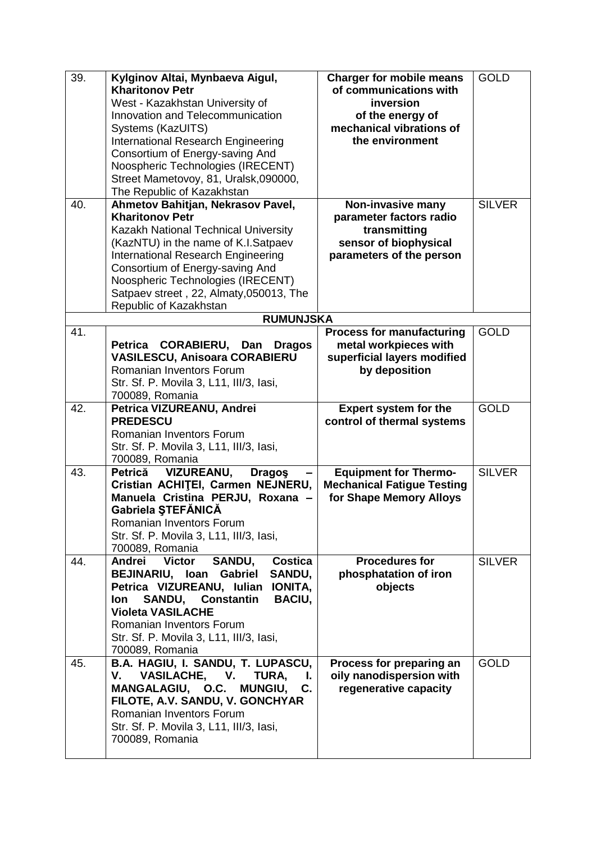| 39. | Kylginov Altai, Mynbaeva Aigul,                            | <b>Charger for mobile means</b>   | <b>GOLD</b>   |
|-----|------------------------------------------------------------|-----------------------------------|---------------|
|     | <b>Kharitonov Petr</b>                                     | of communications with            |               |
|     | West - Kazakhstan University of                            | inversion                         |               |
|     | Innovation and Telecommunication                           | of the energy of                  |               |
|     | Systems (KazUITS)                                          | mechanical vibrations of          |               |
|     | International Research Engineering                         | the environment                   |               |
|     | Consortium of Energy-saving And                            |                                   |               |
|     | Noospheric Technologies (IRECENT)                          |                                   |               |
|     | Street Mametovoy, 81, Uralsk,090000,                       |                                   |               |
|     | The Republic of Kazakhstan                                 |                                   |               |
| 40. | Ahmetov Bahitjan, Nekrasov Pavel,                          | Non-invasive many                 | <b>SILVER</b> |
|     | <b>Kharitonov Petr</b>                                     | parameter factors radio           |               |
|     |                                                            |                                   |               |
|     | Kazakh National Technical University                       | transmitting                      |               |
|     | (KazNTU) in the name of K.I.Satpaev                        | sensor of biophysical             |               |
|     | International Research Engineering                         | parameters of the person          |               |
|     | Consortium of Energy-saving And                            |                                   |               |
|     | Noospheric Technologies (IRECENT)                          |                                   |               |
|     | Satpaev street, 22, Almaty, 050013, The                    |                                   |               |
|     | Republic of Kazakhstan                                     |                                   |               |
|     | <b>RUMUNJSKA</b>                                           |                                   |               |
| 41. |                                                            | <b>Process for manufacturing</b>  | <b>GOLD</b>   |
|     | Petrica CORABIERU, Dan<br><b>Dragos</b>                    | metal workpieces with             |               |
|     | <b>VASILESCU, Anisoara CORABIERU</b>                       | superficial layers modified       |               |
|     | Romanian Inventors Forum                                   | by deposition                     |               |
|     | Str. Sf. P. Movila 3, L11, III/3, Iasi,                    |                                   |               |
|     | 700089, Romania                                            |                                   |               |
| 42. | Petrica VIZUREANU, Andrei                                  | <b>Expert system for the</b>      | <b>GOLD</b>   |
|     | <b>PREDESCU</b>                                            | control of thermal systems        |               |
|     | Romanian Inventors Forum                                   |                                   |               |
|     | Str. Sf. P. Movila 3, L11, III/3, Iasi,                    |                                   |               |
|     | 700089, Romania                                            |                                   |               |
| 43. | <b>VIZUREANU,</b><br>Petrică<br><b>Dragos</b>              | <b>Equipment for Thermo-</b>      | <b>SILVER</b> |
|     | Cristian ACHITEI, Carmen NEJNERU,                          | <b>Mechanical Fatigue Testing</b> |               |
|     | Manuela Cristina PERJU, Roxana -                           | for Shape Memory Alloys           |               |
|     | Gabriela ȘTEFĂNICĂ                                         |                                   |               |
|     | Romanian Inventors Forum                                   |                                   |               |
|     | Str. Sf. P. Movila 3, L11, III/3, Iasi,                    |                                   |               |
|     | 700089, Romania                                            |                                   |               |
| 44. | Andrei Victor<br>SANDU,<br>Costica                         | <b>Procedures for</b>             | <b>SILVER</b> |
|     | <b>BEJINARIU, Ioan</b><br>Gabriel<br>SANDU,                | phosphatation of iron             |               |
|     | Petrica VIZUREANU, Iulian<br><b>IONITA,</b>                | objects                           |               |
|     | <b>SANDU,</b><br><b>Constantin</b><br><b>BACIU,</b><br>lon |                                   |               |
|     | <b>Violeta VASILACHE</b>                                   |                                   |               |
|     | Romanian Inventors Forum                                   |                                   |               |
|     | Str. Sf. P. Movila 3, L11, III/3, Iasi,                    |                                   |               |
|     | 700089, Romania                                            |                                   |               |
| 45. | B.A. HAGIU, I. SANDU, T. LUPASCU,                          | Process for preparing an          | <b>GOLD</b>   |
|     | TURA,<br>V.                                                | oily nanodispersion with          |               |
|     | VASILACHE, V.<br>L.                                        |                                   |               |
|     | MANGALAGIU, O.C. MUNGIU,<br>C.                             | regenerative capacity             |               |
|     | FILOTE, A.V. SANDU, V. GONCHYAR                            |                                   |               |
|     | <b>Romanian Inventors Forum</b>                            |                                   |               |
|     | Str. Sf. P. Movila 3, L11, III/3, Iasi,                    |                                   |               |
|     | 700089, Romania                                            |                                   |               |
|     |                                                            |                                   |               |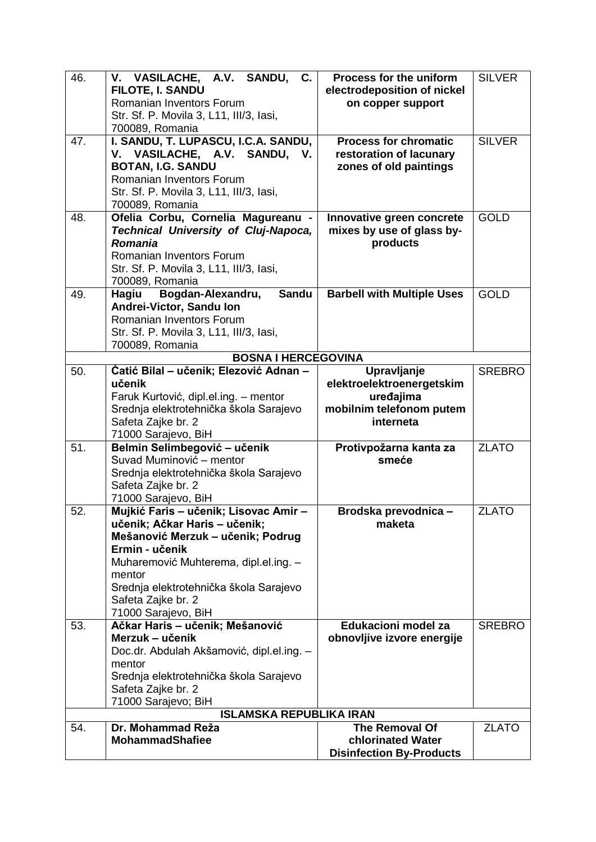| 46. | V. VASILACHE, A.V. SANDU, C.<br><b>FILOTE, I. SANDU</b><br>Romanian Inventors Forum<br>Str. Sf. P. Movila 3, L11, III/3, Iasi,<br>700089, Romania                                                                                                                       | Process for the uniform<br>electrodeposition of nickel<br>on copper support                    | <b>SILVER</b> |
|-----|-------------------------------------------------------------------------------------------------------------------------------------------------------------------------------------------------------------------------------------------------------------------------|------------------------------------------------------------------------------------------------|---------------|
| 47. | I. SANDU, T. LUPASCU, I.C.A. SANDU,<br>V. VASILACHE, A.V. SANDU, V.<br><b>BOTAN, I.G. SANDU</b><br>Romanian Inventors Forum<br>Str. Sf. P. Movila 3, L11, III/3, Iasi,<br>700089, Romania                                                                               | <b>Process for chromatic</b><br>restoration of lacunary<br>zones of old paintings              | <b>SILVER</b> |
| 48. | Ofelia Corbu, Cornelia Magureanu -<br><b>Technical University of Cluj-Napoca,</b><br><b>Romania</b><br>Romanian Inventors Forum<br>Str. Sf. P. Movila 3, L11, III/3, Iasi,<br>700089, Romania                                                                           | Innovative green concrete<br>mixes by use of glass by-<br>products                             | <b>GOLD</b>   |
| 49. | Bogdan-Alexandru,<br><b>Sandu</b><br>Hagiu<br>Andrei-Victor, Sandu Ion<br>Romanian Inventors Forum<br>Str. Sf. P. Movila 3, L11, III/3, Iasi,<br>700089, Romania                                                                                                        | <b>Barbell with Multiple Uses</b>                                                              | <b>GOLD</b>   |
|     | <b>BOSNA I HERCEGOVINA</b>                                                                                                                                                                                                                                              |                                                                                                |               |
| 50. | Ćatić Bilal – učenik; Elezović Adnan –<br>učenik<br>Faruk Kurtović, dipl.el.ing. - mentor<br>Srednja elektrotehnička škola Sarajevo<br>Safeta Zajke br. 2<br>71000 Sarajevo, BiH                                                                                        | Upravljanje<br>elektroelektroenergetskim<br>uređajima<br>mobilnim telefonom putem<br>interneta | <b>SREBRO</b> |
| 51. | Belmin Selimbegović - učenik<br>Suvad Muminović - mentor<br>Srednja elektrotehnička škola Sarajevo<br>Safeta Zajke br. 2<br>71000 Sarajevo, BiH                                                                                                                         | Protivpožarna kanta za<br>smeće                                                                | <b>ZLATO</b>  |
| 52. | Mujkić Faris - učenik; Lisovac Amir -<br>učenik; Ačkar Haris - učenik;<br>Mešanović Merzuk – učenik; Podrug<br>Ermin - učenik<br>Muharemović Muhterema, dipl.el.ing. -<br>mentor<br>Srednja elektrotehnička škola Sarajevo<br>Safeta Zajke br. 2<br>71000 Sarajevo, BiH | Brodska prevodnica -<br>maketa                                                                 | <b>ZLATO</b>  |
| 53. | Ačkar Haris - učenik; Mešanović<br>Merzuk – učenik<br>Doc.dr. Abdulah Akšamović, dipl.el.ing. -<br>mentor<br>Srednja elektrotehnička škola Sarajevo<br>Safeta Zajke br. 2<br>71000 Sarajevo; BiH                                                                        | Edukacioni model za<br>obnovljive izvore energije                                              | <b>SREBRO</b> |
| 54. | <b>ISLAMSKA REPUBLIKA IRAN</b><br>Dr. Mohammad Reža                                                                                                                                                                                                                     | The Removal Of                                                                                 | <b>ZLATO</b>  |
|     | <b>MohammadShafiee</b>                                                                                                                                                                                                                                                  | chlorinated Water<br><b>Disinfection By-Products</b>                                           |               |